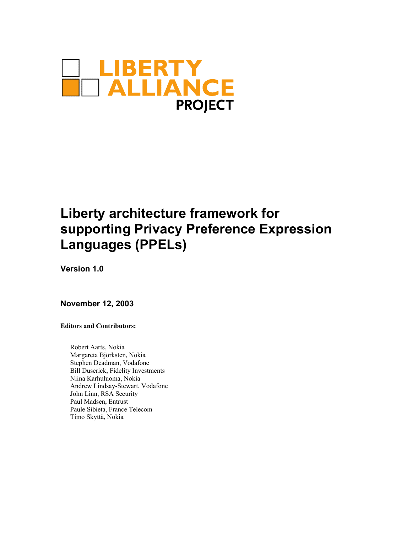

# **Liberty architecture framework for supporting Privacy Preference Expression Languages (PPELs)**

**Version 1.0** 

**November 12, 2003** 

**Editors and Contributors:** 

Robert Aarts, Nokia Margareta Björksten, Nokia Stephen Deadman, Vodafone Bill Duserick, Fidelity Investments Niina Karhuluoma, Nokia Andrew Lindsay-Stewart, Vodafone John Linn, RSA Security Paul Madsen, Entrust Paule Sibieta, France Telecom Timo Skyttä, Nokia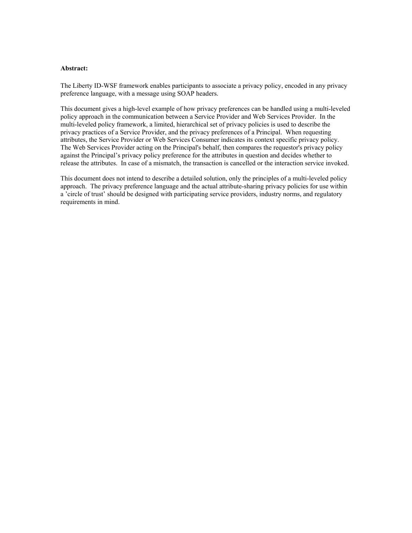#### **Abstract:**

The Liberty ID-WSF framework enables participants to associate a privacy policy, encoded in any privacy preference language, with a message using SOAP headers.

This document gives a high-level example of how privacy preferences can be handled using a multi-leveled policy approach in the communication between a Service Provider and Web Services Provider. In the multi-leveled policy framework, a limited, hierarchical set of privacy policies is used to describe the privacy practices of a Service Provider, and the privacy preferences of a Principal. When requesting attributes, the Service Provider or Web Services Consumer indicates its context specific privacy policy. The Web Services Provider acting on the Principal's behalf, then compares the requestor's privacy policy against the Principal's privacy policy preference for the attributes in question and decides whether to release the attributes. In case of a mismatch, the transaction is cancelled or the interaction service invoked.

This document does not intend to describe a detailed solution, only the principles of a multi-leveled policy approach. The privacy preference language and the actual attribute-sharing privacy policies for use within a 'circle of trust' should be designed with participating service providers, industry norms, and regulatory requirements in mind.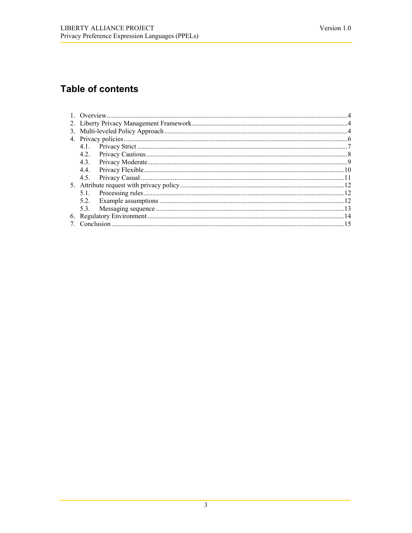# **Table of contents**

| 4.3. |  |  |
|------|--|--|
| 4.4. |  |  |
| 4.5. |  |  |
|      |  |  |
|      |  |  |
|      |  |  |
|      |  |  |
|      |  |  |
|      |  |  |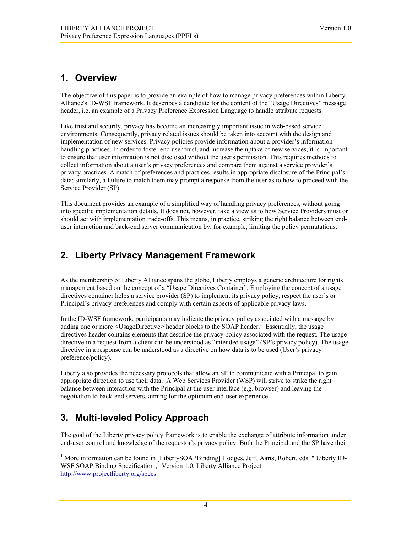# <span id="page-3-0"></span>**1. Overview**

The objective of this paper is to provide an example of how to manage privacy preferences within Liberty Alliance's ID-WSF framework. It describes a candidate for the content of the "Usage Directives" message header, i.e. an example of a Privacy Preference Expression Language to handle attribute requests.

Like trust and security, privacy has become an increasingly important issue in web-based service environments. Consequently, privacy related issues should be taken into account with the design and implementation of new services. Privacy policies provide information about a provider's information handling practices. In order to foster end user trust, and increase the uptake of new services, it is important to ensure that user information is not disclosed without the user's permission. This requires methods to collect information about a user's privacy preferences and compare them against a service provider's privacy practices. A match of preferences and practices results in appropriate disclosure of the Principal's data; similarly, a failure to match them may prompt a response from the user as to how to proceed with the Service Provider (SP).

This document provides an example of a simplified way of handling privacy preferences, without going into specific implementation details. It does not, however, take a view as to how Service Providers must or should act with implementation trade-offs. This means, in practice, striking the right balance between enduser interaction and back-end server communication by, for example, limiting the policy permutations.

# **2. Liberty Privacy Management Framework**

As the membership of Liberty Alliance spans the globe, Liberty employs a generic architecture for rights management based on the concept of a "Usage Directives Container". Employing the concept of a usage directives container helps a service provider (SP) to implement its privacy policy, respect the user's or Principal's privacy preferences and comply with certain aspects of applicable privacy laws.

In the ID-WSF framework, participants may indicate the privacy policy associated with a message by adding one or more <UsageDirective> header blocks to the SOAP header.<sup>[1](#page-3-1)</sup> Essentially, the usage directives header contains elements that describe the privacy policy associated with the request. The usage directive in a request from a client can be understood as "intended usage" (SP's privacy policy). The usage directive in a response can be understood as a directive on how data is to be used (User's privacy preference/policy).

Liberty also provides the necessary protocols that allow an SP to communicate with a Principal to gain appropriate direction to use their data. A Web Services Provider (WSP) will strive to strike the right balance between interaction with the Principal at the user interface (e.g. browser) and leaving the negotiation to back-end servers, aiming for the optimum end-user experience.

# **3. Multi-leveled Policy Approach**

The goal of the Liberty privacy policy framework is to enable the exchange of attribute information under end-user control and knowledge of the requestor's privacy policy. Both the Principal and the SP have their

<span id="page-3-1"></span> $\frac{1}{1}$ <sup>1</sup> More information can be found in [LibertySOAPBinding] Hodges, Jeff, Aarts, Robert, eds. " Liberty ID-WSF SOAP Binding Specification ," Version 1.0, Liberty Alliance Project. <http://www.projectliberty.org/specs>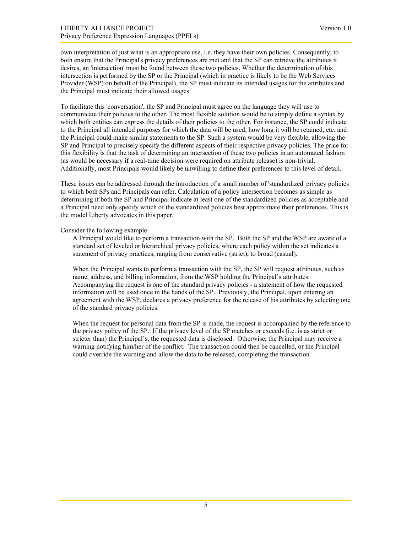own interpretation of just what is an appropriate use, i.e. they have their own policies. Consequently, to both ensure that the Principal's privacy preferences are met and that the SP can retrieve the attributes it desires, an 'intersection' must be found between these two policies. Whether the determination of this intersection is performed by the SP or the Principal (which in practice is likely to be the Web Services Provider (WSP) on behalf of the Principal), the SP must indicate its intended usages for the attributes and the Principal must indicate their allowed usages.

To facilitate this 'conversation', the SP and Principal must agree on the language they will use to communicate their policies to the other. The most flexible solution would be to simply define a syntax by which both entities can express the details of their policies to the other. For instance, the SP could indicate to the Principal all intended purposes for which the data will be used, how long it will be retained, etc. and the Principal could make similar statements to the SP. Such a system would be very flexible, allowing the SP and Principal to precisely specify the different aspects of their respective privacy policies. The price for this flexibility is that the task of determining an intersection of these two policies in an automated fashion (as would be necessary if a real-time decision were required on attribute release) is non-trivial. Additionally, most Principals would likely be unwilling to define their preferences to this level of detail.

These issues can be addressed through the introduction of a small number of 'standardized' privacy policies to which both SPs and Principals can refer. Calculation of a policy intersection becomes as simple as determining if both the SP and Principal indicate at least one of the standardized policies as acceptable and a Principal need only specify which of the standardized policies best approximate their preferences. This is the model Liberty advocates in this paper.

Consider the following example:

A Principal would like to perform a transaction with the SP. Both the SP and the WSP are aware of a standard set of leveled or hierarchical privacy policies, where each policy within the set indicates a statement of privacy practices, ranging from conservative (strict), to broad (casual).

When the Principal wants to perform a transaction with the SP, the SP will request attributes, such as name, address, and billing information, from the WSP holding the Principal's attributes. Accompanying the request is one of the standard privacy policies - a statement of how the requested information will be used once in the hands of the SP. Previously, the Principal, upon entering an agreement with the WSP, declares a privacy preference for the release of his attributes by selecting one of the standard privacy policies.

When the request for personal data from the SP is made, the request is accompanied by the reference to the privacy policy of the SP. If the privacy level of the SP matches or exceeds (i.e. is as strict or stricter than) the Principal's, the requested data is disclosed. Otherwise, the Principal may receive a warning notifying him/her of the conflict. The transaction could then be cancelled, or the Principal could override the warning and allow the data to be released, completing the transaction.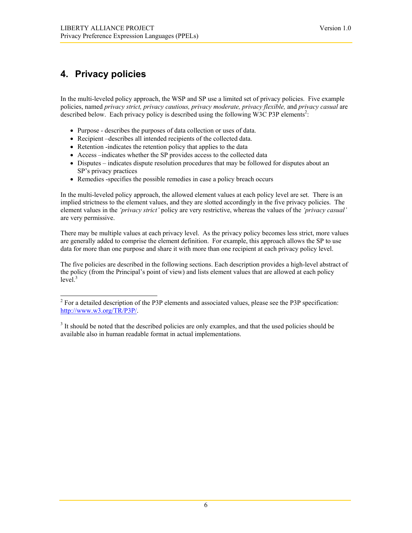# <span id="page-5-0"></span>**4. Privacy policies**

In the multi-leveled policy approach, the WSP and SP use a limited set of privacy policies. Five example policies, named *privacy strict, privacy cautious, privacy moderate, privacy flexible,* and *privacy casual* are described below. Each privacy policy is described using the following W3C P3P elements<sup>[2](#page-5-1)</sup>:

- Purpose describes the purposes of data collection or uses of data.
- Recipient –describes all intended recipients of the collected data.
- Retention -indicates the retention policy that applies to the data
- Access –indicates whether the SP provides access to the collected data
- Disputes indicates dispute resolution procedures that may be followed for disputes about an SP's privacy practices
- Remedies -specifies the possible remedies in case a policy breach occurs

In the multi-leveled policy approach, the allowed element values at each policy level are set. There is an implied strictness to the element values, and they are slotted accordingly in the five privacy policies. The element values in the *'privacy strict'* policy are very restrictive, whereas the values of the *'privacy casual'* are very permissive.

There may be multiple values at each privacy level. As the privacy policy becomes less strict, more values are generally added to comprise the element definition. For example, this approach allows the SP to use data for more than one purpose and share it with more than one recipient at each privacy policy level.

The five policies are described in the following sections. Each description provides a high-level abstract of the policy (from the Principal's point of view) and lists element values that are allowed at each policy  $level.<sup>3</sup>$  $level.<sup>3</sup>$  $level.<sup>3</sup>$ 

<span id="page-5-1"></span><sup>2&</sup>lt;br>2  $<sup>2</sup>$  For a detailed description of the P3P elements and associated values, please see the P3P specification:</sup> <http://www.w3.org/TR/P3P/>.

<span id="page-5-2"></span><sup>&</sup>lt;sup>3</sup> It should be noted that the described policies are only examples, and that the used policies should be available also in human readable format in actual implementations.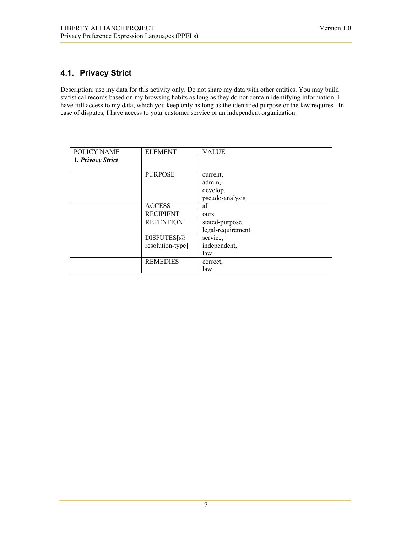## <span id="page-6-0"></span>**4.1. Privacy Strict**

Description: use my data for this activity only. Do not share my data with other entities. You may build statistical records based on my browsing habits as long as they do not contain identifying information. I have full access to my data, which you keep only as long as the identified purpose or the law requires. In case of disputes, I have access to your customer service or an independent organization.

| POLICY NAME       | <b>ELEMENT</b>   | <b>VALUE</b>      |
|-------------------|------------------|-------------------|
| 1. Privacy Strict |                  |                   |
|                   |                  |                   |
|                   | <b>PURPOSE</b>   | current,          |
|                   |                  | admin,            |
|                   |                  | develop,          |
|                   |                  | pseudo-analysis   |
|                   | <b>ACCESS</b>    | all               |
|                   | <b>RECIPIENT</b> | ours              |
|                   | <b>RETENTION</b> | stated-purpose,   |
|                   |                  | legal-requirement |
|                   | DISPUTES[@]      | service,          |
|                   | resolution-type] | independent,      |
|                   |                  | law               |
|                   | <b>REMEDIES</b>  | correct.          |
|                   |                  | law               |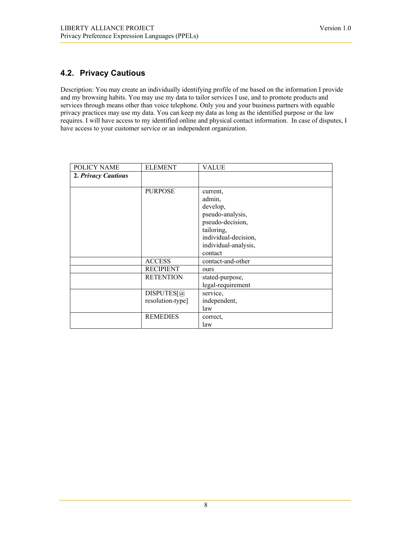### <span id="page-7-0"></span>**4.2. Privacy Cautious**

Description: You may create an individually identifying profile of me based on the information I provide and my browsing habits. You may use my data to tailor services I use, and to promote products and services through means other than voice telephone. Only you and your business partners with equable privacy practices may use my data. You can keep my data as long as the identified purpose or the law requires. I will have access to my identified online and physical contact information. In case of disputes, I have access to your customer service or an independent organization.

| POLICY NAME         | <b>ELEMENT</b>   | <b>VALUE</b>         |
|---------------------|------------------|----------------------|
| 2. Privacy Cautious |                  |                      |
|                     |                  |                      |
|                     | <b>PURPOSE</b>   | current,             |
|                     |                  | admin,               |
|                     |                  | develop,             |
|                     |                  | pseudo-analysis,     |
|                     |                  | pseudo-decision,     |
|                     |                  | tailoring,           |
|                     |                  | individual-decision, |
|                     |                  | individual-analysis, |
|                     |                  | contact              |
|                     | <b>ACCESS</b>    | contact-and-other    |
|                     | <b>RECIPIENT</b> | ours                 |
|                     | <b>RETENTION</b> | stated-purpose,      |
|                     |                  | legal-requirement    |
|                     | DISPUTES[@]      | service,             |
|                     | resolution-type] | independent,         |
|                     |                  | law                  |
|                     | <b>REMEDIES</b>  | correct.             |
|                     |                  | law                  |

8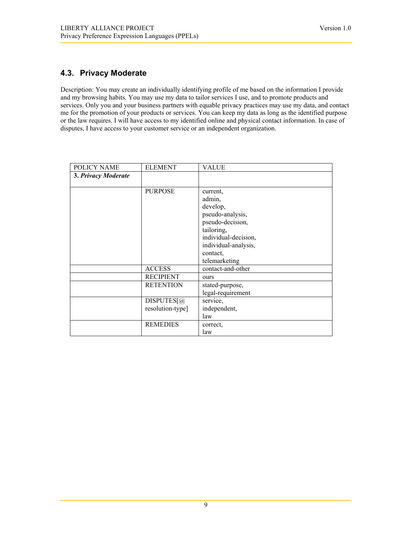### <span id="page-8-0"></span>**4.3. Privacy Moderate**

Description: You may create an individually identifying profile of me based on the information I provide and my browsing habits. You may use my data to tailor services I use, and to promote products and services. Only you and your business partners with equable privacy practices may use my data, and contact me for the promotion of your products or services. You can keep my data as long as the identified purpose or the law requires. I will have access to my identified online and physical contact information. In case of disputes, I have access to your customer service or an independent organization.

| POLICY NAME         | <b>ELEMENT</b>   | <b>VALUE</b>         |
|---------------------|------------------|----------------------|
| 3. Privacy Moderate |                  |                      |
|                     |                  |                      |
|                     | <b>PURPOSE</b>   | current,             |
|                     |                  | admin,               |
|                     |                  | develop,             |
|                     |                  | pseudo-analysis,     |
|                     |                  | pseudo-decision,     |
|                     |                  | tailoring,           |
|                     |                  | individual-decision, |
|                     |                  | individual-analysis, |
|                     |                  | contact.             |
|                     |                  | telemarketing        |
|                     | <b>ACCESS</b>    | contact-and-other    |
|                     | <b>RECIPIENT</b> | ours                 |
|                     | <b>RETENTION</b> | stated-purpose,      |
|                     |                  | legal-requirement    |
|                     | DISPUTES[@]      | service,             |
|                     | resolution-type] | independent,         |
|                     |                  | law                  |
|                     | <b>REMEDIES</b>  | correct,             |
|                     |                  | law                  |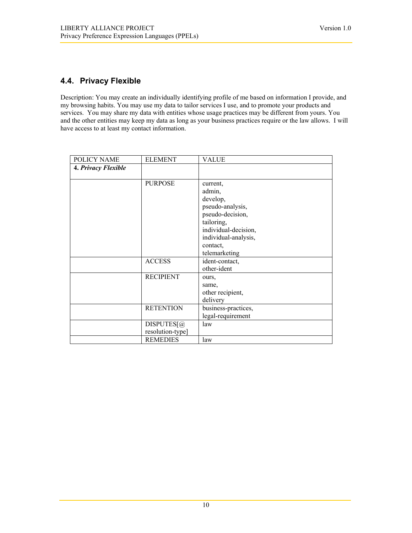### <span id="page-9-0"></span>**4.4. Privacy Flexible**

Description: You may create an individually identifying profile of me based on information I provide, and my browsing habits. You may use my data to tailor services I use, and to promote your products and services. You may share my data with entities whose usage practices may be different from yours. You and the other entities may keep my data as long as your business practices require or the law allows. I will have access to at least my contact information.

| POLICY NAME         | <b>ELEMENT</b>                 | <b>VALUE</b>                                                                                                                                     |
|---------------------|--------------------------------|--------------------------------------------------------------------------------------------------------------------------------------------------|
| 4. Privacy Flexible |                                |                                                                                                                                                  |
|                     | <b>PURPOSE</b>                 | current,<br>admin,<br>develop,<br>pseudo-analysis,<br>pseudo-decision,<br>tailoring,<br>individual-decision,<br>individual-analysis,<br>contact, |
|                     | <b>ACCESS</b>                  | telemarketing<br>ident-contact,<br>other-ident                                                                                                   |
|                     | <b>RECIPIENT</b>               | ours,<br>same,<br>other recipient,<br>delivery                                                                                                   |
|                     | <b>RETENTION</b>               | business-practices,<br>legal-requirement                                                                                                         |
|                     | DISPUTES[@<br>resolution-type] | law                                                                                                                                              |
|                     | <b>REMEDIES</b>                | law                                                                                                                                              |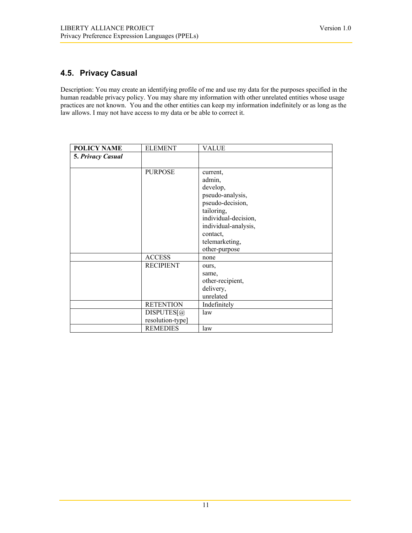### <span id="page-10-0"></span>**4.5. Privacy Casual**

Description: You may create an identifying profile of me and use my data for the purposes specified in the human readable privacy policy. You may share my information with other unrelated entities whose usage practices are not known. You and the other entities can keep my information indefinitely or as long as the law allows. I may not have access to my data or be able to correct it.

| <b>POLICY NAME</b>       | <b>ELEMENT</b>   | <b>VALUE</b>         |
|--------------------------|------------------|----------------------|
| <b>5. Privacy Casual</b> |                  |                      |
|                          |                  |                      |
|                          | <b>PURPOSE</b>   | current,             |
|                          |                  | admin,               |
|                          |                  | develop,             |
|                          |                  | pseudo-analysis,     |
|                          |                  | pseudo-decision,     |
|                          |                  | tailoring,           |
|                          |                  | individual-decision, |
|                          |                  | individual-analysis, |
|                          |                  | contact,             |
|                          |                  | telemarketing,       |
|                          |                  | other-purpose        |
|                          | <b>ACCESS</b>    | none                 |
|                          | <b>RECIPIENT</b> | ours,                |
|                          |                  | same,                |
|                          |                  | other-recipient,     |
|                          |                  | delivery,            |
|                          |                  | unrelated            |
|                          | <b>RETENTION</b> | Indefinitely         |
|                          | DISPUTES[@]      | law                  |
|                          | resolution-type] |                      |
|                          | <b>REMEDIES</b>  | law                  |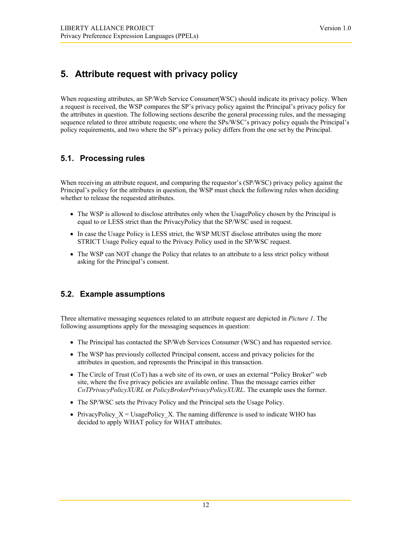# <span id="page-11-0"></span>**5. Attribute request with privacy policy**

When requesting attributes, an SP/Web Service Consumer(WSC) should indicate its privacy policy. When a request is received, the WSP compares the SP's privacy policy against the Principal's privacy policy for the attributes in question. The following sections describe the general processing rules, and the messaging sequence related to three attribute requests; one where the SPs/WSC's privacy policy equals the Principal's policy requirements, and two where the SP's privacy policy differs from the one set by the Principal.

### **5.1. Processing rules**

When receiving an attribute request, and comparing the requestor's (SP/WSC) privacy policy against the Principal's policy for the attributes in question, the WSP must check the following rules when deciding whether to release the requested attributes.

- The WSP is allowed to disclose attributes only when the UsagePolicy chosen by the Principal is equal to or LESS strict than the PrivacyPolicy that the SP/WSC used in request.
- In case the Usage Policy is LESS strict, the WSP MUST disclose attributes using the more STRICT Usage Policy equal to the Privacy Policy used in the SP/WSC request.
- The WSP can NOT change the Policy that relates to an attribute to a less strict policy without asking for the Principal's consent.

#### **5.2. Example assumptions**

Three alternative messaging sequences related to an attribute request are depicted in *Picture 1*. The following assumptions apply for the messaging sequences in question:

- The Principal has contacted the SP/Web Services Consumer (WSC) and has requested service.
- The WSP has previously collected Principal consent, access and privacy policies for the attributes in question, and represents the Principal in this transaction.
- The Circle of Trust (CoT) has a web site of its own, or uses an external "Policy Broker" web site, where the five privacy policies are available online. Thus the message carries either *CoTPrivacyPolicyXURL* or *PolicyBrokerPrivacyPolicyXURL*. The example uses the former.
- The SP/WSC sets the Privacy Policy and the Principal sets the Usage Policy.
- PrivacyPolicy  $X =$  UsagePolicy X. The naming difference is used to indicate WHO has decided to apply WHAT policy for WHAT attributes.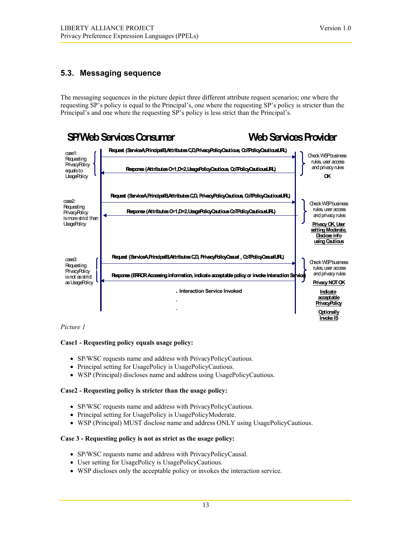### <span id="page-12-0"></span>**5.3. Messaging sequence**

The messaging sequences in the picture depict three different attribute request scenarios; one where the requesting SP's policy is equal to the Principal's, one where the requesting SP's policy is stricter than the Principal's and one where the requesting SP's policy is less strict than the Principal's.



#### *Picture 1*

#### **Case1 - Requesting policy equals usage policy:**

- SP/WSC requests name and address with PrivacyPolicyCautious.
- Principal setting for UsagePolicy is UsagePolicyCautious.
- WSP (Principal) discloses name and address using UsagePolicyCautious.

#### **Case2 - Requesting policy is stricter than the usage policy:**

- SP/WSC requests name and address with PrivacyPolicyCautious.
- Principal setting for UsagePolicy is UsagePolicyModerate.
- WSP (Principal) MUST disclose name and address ONLY using UsagePolicyCautious.

#### **Case 3 - Requesting policy is not as strict as the usage policy:**

- SP/WSC requests name and address with PrivacyPolicyCausal.
- User setting for UsagePolicy is UsagePolicyCautious.
- WSP discloses only the acceptable policy or invokes the interaction service.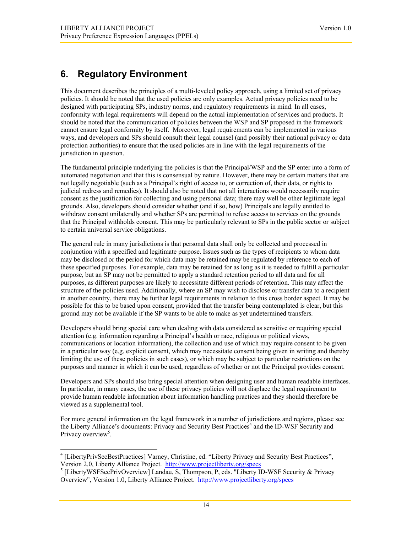# <span id="page-13-0"></span>**6. Regulatory Environment**

This document describes the principles of a multi-leveled policy approach, using a limited set of privacy policies. It should be noted that the used policies are only examples. Actual privacy policies need to be designed with participating SPs, industry norms, and regulatory requirements in mind. In all cases, conformity with legal requirements will depend on the actual implementation of services and products. It should be noted that the communication of policies between the WSP and SP proposed in the framework cannot ensure legal conformity by itself. Moreover, legal requirements can be implemented in various ways, and developers and SPs should consult their legal counsel (and possibly their national privacy or data protection authorities) to ensure that the used policies are in line with the legal requirements of the jurisdiction in question.

The fundamental principle underlying the policies is that the Principal/WSP and the SP enter into a form of automated negotiation and that this is consensual by nature. However, there may be certain matters that are not legally negotiable (such as a Principal's right of access to, or correction of, their data, or rights to judicial redress and remedies). It should also be noted that not all interactions would necessarily require consent as the justification for collecting and using personal data; there may well be other legitimate legal grounds. Also, developers should consider whether (and if so, how) Principals are legally entitled to withdraw consent unilaterally and whether SPs are permitted to refuse access to services on the grounds that the Principal withholds consent. This may be particularly relevant to SPs in the public sector or subject to certain universal service obligations.

The general rule in many jurisdictions is that personal data shall only be collected and processed in conjunction with a specified and legitimate purpose. Issues such as the types of recipients to whom data may be disclosed or the period for which data may be retained may be regulated by reference to each of these specified purposes. For example, data may be retained for as long as it is needed to fulfill a particular purpose, but an SP may not be permitted to apply a standard retention period to all data and for all purposes, as different purposes are likely to necessitate different periods of retention. This may affect the structure of the policies used. Additionally, where an SP may wish to disclose or transfer data to a recipient in another country, there may be further legal requirements in relation to this cross border aspect. It may be possible for this to be based upon consent, provided that the transfer being contemplated is clear, but this ground may not be available if the SP wants to be able to make as yet undetermined transfers.

Developers should bring special care when dealing with data considered as sensitive or requiring special attention (e.g. information regarding a Principal's health or race, religious or political views, communications or location information), the collection and use of which may require consent to be given in a particular way (e.g. explicit consent, which may necessitate consent being given in writing and thereby limiting the use of these policies in such cases), or which may be subject to particular restrictions on the purposes and manner in which it can be used, regardless of whether or not the Principal provides consent.

Developers and SPs should also bring special attention when designing user and human readable interfaces. In particular, in many cases, the use of these privacy policies will not displace the legal requirement to provide human readable information about information handling practices and they should therefore be viewed as a supplemental tool.

For more general information on the legal framework in a number of jurisdictions and regions, please see the Liberty Alliance's documents: Privacy and Security Best Practices<sup>4</sup> and the ID-WSF Security and Privacy overview<sup>5</sup>[.](#page-13-2)

<span id="page-13-1"></span> $\frac{1}{4}$  [LibertyPrivSecBestPractices] Varney, Christine, ed. "Liberty Privacy and Security Best Practices", Version 2.0, Liberty Alliance Project. <http://www.projectliberty.org/specs>5

<span id="page-13-2"></span><sup>&</sup>lt;sup>5</sup> [LibertyWSFSecPrivOverview] Landau, S, Thompson, P, eds. "Liberty ID-WSF Security & Privacy Overview", Version 1.0, Liberty Alliance Project. <http://www.projectliberty.org/specs>